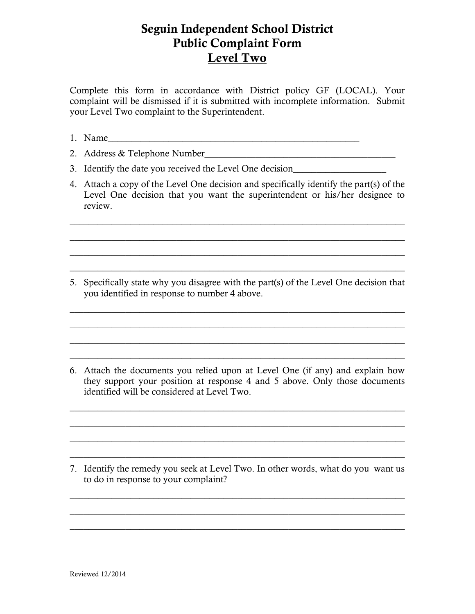## Seguin Independent School District Public Complaint Form Level Two

Complete this form in accordance with District policy GF (LOCAL). Your complaint will be dismissed if it is submitted with incomplete information. Submit your Level Two complaint to the Superintendent.

- 1. Name
- 2. Address & Telephone Number\_\_\_\_\_\_\_\_\_\_\_\_\_\_\_\_\_\_\_\_\_\_\_\_\_\_\_\_\_\_\_\_\_\_\_\_\_\_\_\_\_
- 3. Identify the date you received the Level One decision\_\_\_\_\_\_\_\_\_\_\_\_\_\_\_\_\_\_\_\_\_\_\_\_
- 4. Attach a copy of the Level One decision and specifically identify the part(s) of the Level One decision that you want the superintendent or his/her designee to review.

 $\_$  , and the set of the set of the set of the set of the set of the set of the set of the set of the set of the set of the set of the set of the set of the set of the set of the set of the set of the set of the set of th  $\_$  , and the set of the set of the set of the set of the set of the set of the set of the set of the set of the set of the set of the set of the set of the set of the set of the set of the set of the set of the set of th  $\_$  , and the set of the set of the set of the set of the set of the set of the set of the set of the set of the set of the set of the set of the set of the set of the set of the set of the set of the set of the set of th  $\_$  , and the set of the set of the set of the set of the set of the set of the set of the set of the set of the set of the set of the set of the set of the set of the set of the set of the set of the set of the set of th

5. Specifically state why you disagree with the part(s) of the Level One decision that you identified in response to number 4 above.

 $\_$  , and the set of the set of the set of the set of the set of the set of the set of the set of the set of the set of the set of the set of the set of the set of the set of the set of the set of the set of the set of th  $\_$  , and the set of the set of the set of the set of the set of the set of the set of the set of the set of the set of the set of the set of the set of the set of the set of the set of the set of the set of the set of th  $\_$  , and the set of the set of the set of the set of the set of the set of the set of the set of the set of the set of the set of the set of the set of the set of the set of the set of the set of the set of the set of th  $\_$  , and the set of the set of the set of the set of the set of the set of the set of the set of the set of the set of the set of the set of the set of the set of the set of the set of the set of the set of the set of th

6. Attach the documents you relied upon at Level One (if any) and explain how they support your position at response 4 and 5 above. Only those documents identified will be considered at Level Two.

 $\_$  , and the set of the set of the set of the set of the set of the set of the set of the set of the set of the set of the set of the set of the set of the set of the set of the set of the set of the set of the set of th  $\_$  , and the set of the set of the set of the set of the set of the set of the set of the set of the set of the set of the set of the set of the set of the set of the set of the set of the set of the set of the set of th  $\_$  , and the set of the set of the set of the set of the set of the set of the set of the set of the set of the set of the set of the set of the set of the set of the set of the set of the set of the set of the set of th  $\_$  , and the set of the set of the set of the set of the set of the set of the set of the set of the set of the set of the set of the set of the set of the set of the set of the set of the set of the set of the set of th

7. Identify the remedy you seek at Level Two. In other words, what do you want us to do in response to your complaint?

 $\_$  , and the set of the set of the set of the set of the set of the set of the set of the set of the set of the set of the set of the set of the set of the set of the set of the set of the set of the set of the set of th  $\_$  , and the set of the set of the set of the set of the set of the set of the set of the set of the set of the set of the set of the set of the set of the set of the set of the set of the set of the set of the set of th  $\_$  , and the set of the set of the set of the set of the set of the set of the set of the set of the set of the set of the set of the set of the set of the set of the set of the set of the set of the set of the set of th